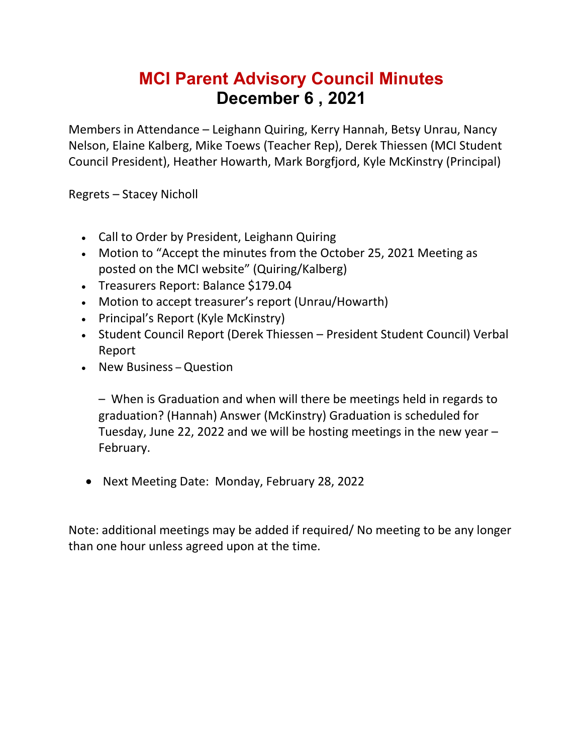## **MCI Parent Advisory Council Minutes December 6 , 2021**

Members in Attendance – Leighann Quiring, Kerry Hannah, Betsy Unrau, Nancy Nelson, Elaine Kalberg, Mike Toews (Teacher Rep), Derek Thiessen (MCI Student Council President), Heather Howarth, Mark Borgfjord, Kyle McKinstry (Principal)

Regrets – Stacey Nicholl

- Call to Order by President, Leighann Quiring
- Motion to "Accept the minutes from the October 25, 2021 Meeting as posted on the MCI website" (Quiring/Kalberg)
- Treasurers Report: Balance \$179.04
- Motion to accept treasurer's report (Unrau/Howarth)
- Principal's Report (Kyle McKinstry)
- Student Council Report (Derek Thiessen President Student Council) Verbal Report
- New Business Question

– When is Graduation and when will there be meetings held in regards to graduation? (Hannah) Answer (McKinstry) Graduation is scheduled for Tuesday, June 22, 2022 and we will be hosting meetings in the new year – February.

• Next Meeting Date: Monday, February 28, 2022

Note: additional meetings may be added if required/ No meeting to be any longer than one hour unless agreed upon at the time.